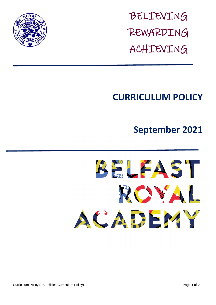

BELIEVING REWARDING ACHIEVING

## **CURRICULUM POLICY**

# **September 2021**



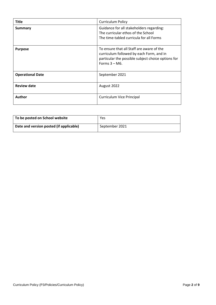| <b>Title</b>            | <b>Curriculum Policy</b>                                                                                                                                        |
|-------------------------|-----------------------------------------------------------------------------------------------------------------------------------------------------------------|
| Summary                 | Guidance for all stakeholders regarding:<br>The curricular ethos of the School<br>The time-tabled curricula for all Forms                                       |
| <b>Purpose</b>          | To ensure that all Staff are aware of the<br>curriculum followed by each Form, and in<br>particular the possible subject choice options for<br>Forms $3 - M6$ . |
| <b>Operational Date</b> | September 2021                                                                                                                                                  |
| <b>Review date</b>      | August 2022                                                                                                                                                     |
| <b>Author</b>           | <b>Curriculum Vice Principal</b>                                                                                                                                |

| To be posted on School website          | Yes            |
|-----------------------------------------|----------------|
| Date and version posted (if applicable) | September 2021 |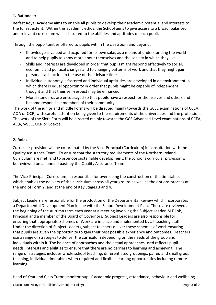## **1. Rationale:**

Belfast Royal Academy aims to enable all pupils to develop their academic potential and interests to the fullest extent. Within this academic ethos, the School aims to give access to a broad, balanced and relevant curriculum which is suited to the abilities and aptitudes of each pupil.

Through the opportunities offered to pupils within the classroom and beyond:

- Knowledge is valued and acquired for its own sake, as a means of understanding the world and to help pupils to know more about themselves and the society in which they live
- Skills and interests are developed in order that pupils might respond effectively to social, economic and political changes and to changing patterns of work and that they might gain personal satisfaction in the use of their leisure time
- Individual autonomy is fostered and individual aptitudes are developed in an environment in which there is equal opportunity in order that pupils might be capable of independent thought and that their self-respect may be enhanced
- Moral standards are encouraged so that pupils have a respect for themselves and others and become responsible members of their community

The work of the junior and middle Forms will be directed mainly towards the GCSE examinations of CCEA, AQA or OCR, with careful attention being given to the requirements of the universities and the professions. The work of the Sixth Form will be directed mainly towards the GCE Advanced Level examinations of CCEA, AQA, WJEC, OCR or Edexcel.

## **2. Roles**

Curricular provision will be co-ordinated by the Vice-Principal (Curriculum) in consultation with the Quality Assurance Team. To ensure that the statutory requirements of the Northern Ireland Curriculum are met, and to promote sustainable development, the School's curricular provision will be reviewed on an annual basis by the Quality Assurance Team.

The Vice-Principal (Curriculum) is responsible for overseeing the construction of the timetable, which enables the delivery of the curriculum across all year groups as well as the options process at the end of Form 2, and at the end of Key Stages 3 and 4.

Subject Leaders are responsible for the production of the Departmental Review which incorporates a Departmental Development Plan in line with the School Development Plan. These are reviewed at the beginning of the Autumn term each year at a meeting involving the Subject Leader, SLT link, Principal and a member of the Board of Governors. Subject Leaders are also responsible for ensuring that appropriate Schemes of Work are in place and implemented by all teaching staff. Under the direction of Subject Leaders, subject teachers deliver these schemes of work ensuring that pupils are given the opportunity to gain their best possible experience and outcomes. Teachers use a range of strategies to deliver the curriculum depending on the needs of the group and individuals within it. The balance of approaches and the actual approaches used reflects pupil needs, interests and abilities to ensure that there are no barriers to learning and achieving. The range of strategies includes whole school teaching, differentiated groupings, paired and small group teaching, individual timetables when required and flexible learning opportunities including remote learning.

Head of Year and Class Tutors monitor pupils' academic progress, attendance, behaviour and wellbeing.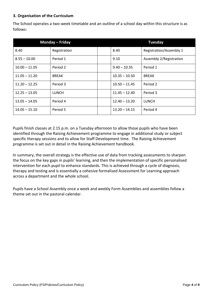## **3. Organisation of the Curriculum**

The School operates a two-week timetable and an outline of a school day within this structure is as follows:

|                 | Monday - Friday |                 | <b>Tuesday</b>                 |
|-----------------|-----------------|-----------------|--------------------------------|
| 8.40            | Registration    | 8.40            | <b>Registration/Assembly 1</b> |
| $8.55 - 10.00$  | Period 1        | 9.10            | Assembly 2/Registration        |
| $10.00 - 11.05$ | Period 2        | $9.40 - 10.35$  | Period 1                       |
| $11.05 - 11.20$ | <b>BREAK</b>    | $10.35 - 10.50$ | <b>BREAK</b>                   |
| $11.20 - 12.25$ | Period 3        | $10.50 - 11.45$ | Period 2                       |
| $12.25 - 13.05$ | <b>LUNCH</b>    | $11.45 - 12.40$ | Period 3                       |
| $13.05 - 14.05$ | Period 4        | $12.40 - 13.20$ | <b>LUNCH</b>                   |
| $14.05 - 15.10$ | Period 5        | $13.20 - 14.15$ | Period 4                       |

Pupils finish classes at 2.15 p.m. on a Tuesday afternoon to allow those pupils who have been identified through the Raising Achievement programme to engage in additional study or subject specific therapy sessions and to allow for Staff Development time. The Raising Achievement programme is set out in detail in the Raising Achievement handbook.

In summary, the overall strategy is the effective use of data from tracking assessments to sharpen the focus on the key gaps in pupils' learning, and then the implementation of specific personalised intervention for each pupil to enhance standards. This is achieved through a cycle of diagnosis, therapy and testing and is essentially a cohesive formalised Assessment for Learning approach across a department and the whole school.

Pupils have a School Assembly once a week and weekly Form Assemblies and assemblies follow a theme set out in the pastoral calendar.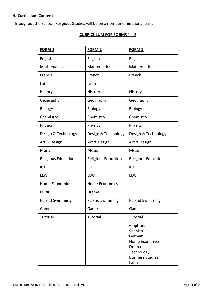#### **4. Curriculum Content**

Throughout the School, Religious Studies will be on a non-denominational basis.

#### **CURRICULUM FOR FORMS 1 – 3**

| <b>FORM 1</b>         | FORM <sub>2</sub>     | <b>FORM 3</b>                                                                                                       |
|-----------------------|-----------------------|---------------------------------------------------------------------------------------------------------------------|
| English               | English               | English                                                                                                             |
| <b>Mathematics</b>    | <b>Mathematics</b>    | <b>Mathematics</b>                                                                                                  |
| French                | French                | French                                                                                                              |
| Latin                 | Latin                 |                                                                                                                     |
| History               | History               | History                                                                                                             |
| Geography             | Geography             | Geography                                                                                                           |
| <b>Biology</b>        | Biology               | <b>Biology</b>                                                                                                      |
| Chemistry             | Chemistry             | Chemistry                                                                                                           |
| Physics               | Physics               | Physics                                                                                                             |
| Design & Technology   | Design & Technology   | Design & Technology                                                                                                 |
| Art & Design          | Art & Design          | Art & Design                                                                                                        |
| <b>Music</b>          | <b>Music</b>          | <b>Music</b>                                                                                                        |
| Religious Education   | Religious Education   | Religious Education                                                                                                 |
| ICT                   | <b>ICT</b>            | <b>ICT</b>                                                                                                          |
| <b>LLW</b>            | <b>LLW</b>            | <b>LLW</b>                                                                                                          |
| <b>Home Economics</b> | <b>Home Economics</b> |                                                                                                                     |
| <b>LORIC</b>          | Drama                 |                                                                                                                     |
| PE and Swimming       | PE and Swimming       | PE and Swimming                                                                                                     |
| Games                 | Games                 | Games                                                                                                               |
| Tutorial              | Tutorial              | Tutorial                                                                                                            |
|                       |                       | + optional<br>Spanish<br>German<br><b>Home Economics</b><br>Drama<br>Technology<br><b>Business Studies</b><br>Latin |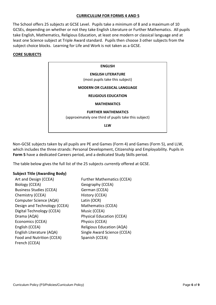#### **CURRICULUM FOR FORMS 4 AND 5**

The School offers 25 subjects at GCSE Level. Pupils take a minimum of 8 and a maximum of 10 GCSEs, depending on whether or not they take English Literature or Further Mathematics. All pupils take English, Mathematics, Religious Education, at least one modern or classical language and at least one Science subject at Triple Award standard. Pupils then choose 3 other subjects from the subject choice blocks. Learning for Life and Work is not taken as a GCSE.

#### **CORE SUBJECTS**

| <b>ENGLISH</b>                                                                      |  |
|-------------------------------------------------------------------------------------|--|
| <b>ENGLISH LITERATURE</b><br>(most pupils take this subject)                        |  |
| <b>MODERN OR CLASSICAL LANGUAGE</b>                                                 |  |
| <b>RELIGIOUS EDUCATION</b>                                                          |  |
| <b>MATHEMATICS</b>                                                                  |  |
| <b>FURTHER MATHEMATICS</b><br>(approximately one third of pupils take this subject) |  |
| <b>LLW</b>                                                                          |  |

Non-GCSE subjects taken by all pupils are PE and Games (Form 4) and Games (Form 5), and LLW, which includes the three strands: Personal Development, Citizenship and Employability. Pupils in **Form 5** have a dedicated Careers period, and a dedicated Study Skills period.

The table below gives the full list of the 25 subjects *currently* offered at GCSE.

#### **Subject Title (Awarding Body)**

Art and Design (CCEA) Further Mathematics (CCEA) Biology (CCEA) Geography (CCEA) Business Studies (CCEA) German (CCEA) Chemistry (CCEA) History (CCEA) Computer Science (AQA) Latin (OCR) Design and Technology (CCEA) Mathematics (CCEA) Digital Technology (CCEA) Music (CCEA) Drama (AQA) Physical Education (CCEA) Economics (CCEA) Physics (CCEA) English (CCEA) Religious Education (AQA) English Literature (AQA) Single Award Science (CCEA) Food and Nutrition (CCEA) French (CCEA)

Spanish (CCEA)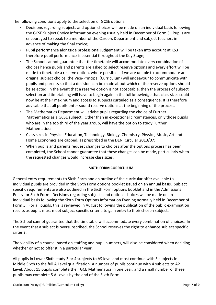The following conditions apply to the selection of GCSE options:

- Decisions regarding subjects and option choices will be made on an individual basis following the GCSE Subject Choice information evening usually held in December of Form 3. Pupils are encouraged to speak to a member of the Careers Department and subject teachers in advance of making the final choice;
- Pupil performance alongside professional judgement will be taken into account at KS3 therefore pupil performance is essential throughout the Key Stage;
- The School cannot guarantee that the timetable will accommodate every combination of choices hence pupils and parents are asked to select reserve options and every effort will be made to timetable a reserve option, where possible. If we are unable to accommodate an original subject choice, the Vice-Principal (Curriculum) will endeavour to communicate with pupils and parents so that a decision can be made about which of the reserve options should be selected. In the event that a reserve option is not acceptable, then the process of subject selection and timetabling will have to begin again in the full knowledge that class sizes could now be at their maximum and access to subjects curtailed as a consequence. It is therefore advisable that all pupils enter sound reserve options at the beginning of the process.
- The Mathematics Department will advise pupils regarding the choice of Further Mathematics as a GCSE subject. Other than in exceptional circumstances, only those pupils who are in the top third of the year group, will have the option to study Further Mathematics;
- Class sizes in Physical Education, Technology, Biology, Chemistry, Physics, Music, Art and Home Economics are capped, as prescribed in the DENI Circular 2013/07;
- When pupils and parents request changes to choices after the options process has been completed, the School cannot guarantee that these changes can be made, particularly when the requested changes would increase class sizes.

## **SIXTH FORM CURRICULUM**

General entry requirements to Sixth Form and an outline of the curricular offer available to individual pupils are provided in the Sixth Form options booklet issued on an annual basis. Subject specific requirements are also outlined in the Sixth Form options booklet and in the Admissions Policy for Sixth Form. Decisions regarding subjects and options choices will be made on an individual basis following the Sixth Form Options Information Evening normally held in December of Form 5. For all pupils, this is reviewed in August following the publication of the public examination results as pupils must meet subject specific criteria to gain entry to their chosen subject.

The School cannot guarantee that the timetable will accommodate every combination of choices. In the event that a subject is oversubscribed, the School reserves the right to enhance subject specific criteria.

The viability of a course, based on staffing and pupil numbers, will also be considered when deciding whether or not to offer it in a particular year.

All pupils in Lower Sixth study 3 or 4 subjects to AS level and most continue with 3 subjects in Middle Sixth to the full A Level qualification. A number of pupils continue with 4 subjects to A2 Level. About 15 pupils complete their GCE Mathematics in one year, and a small number of these pupils may complete 5 A Levels by the end of the Sixth Form.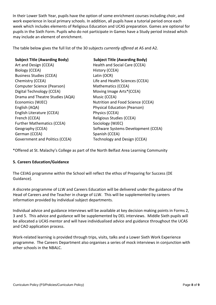In their Lower Sixth Year, pupils have the option of some enrichment courses including choir, and work experience in local primary schools. In addition, all pupils have a tutorial period once each week which includes elements of Religious Education and UCAS preparation. Games are optional for pupils in the Sixth Form. Pupils who do not participate in Games have a Study period instead which may include an element of enrichment.

The table below gives the full list of the 30 subjects *currently offered* at AS and A2.

| <b>Subject Title (Awarding Body)</b>  | <b>Subject Title (Awarding Body)</b> |
|---------------------------------------|--------------------------------------|
| Art and Design (CCEA)                 | Health and Social Care (CCEA)        |
| Biology (CCEA)                        | History (CCEA)                       |
| <b>Business Studies (CCEA)</b>        | Latin (OCR)                          |
| Chemistry (CCEA)                      | Life and Health Sciences (CCEA)      |
| Computer Science (Pearson)            | Mathematics (CCEA)                   |
| Digital Technology (CCEA)             | Moving Image Arts*(CCEA)             |
| Drama and Theatre Studies (AQA)       | Music (CCEA)                         |
| Economics (WJEC)                      | Nutrition and Food Science (CCEA)    |
| English (AQA)                         | <b>Physical Education (Pearson)</b>  |
| English Literature (CCEA)             | Physics (CCEA)                       |
| French (CCEA)                         | Religious Studies (CCEA)             |
| <b>Further Mathematics (CCEA)</b>     | Sociology (WJEC)                     |
| Geography (CCEA)                      | Software Systems Development (CCEA)  |
| German (CCEA)                         | Spanish (CCEA)                       |
| <b>Government and Politics (CCEA)</b> | Technology and Design (CCEA)         |

\*Offered at St. Malachy's College as part of the North Belfast Area Learning Community

#### **5. Careers Education/Guidance**

The CEIAG programme within the School will reflect the ethos of Preparing for Success (DE Guidance).

A discrete programme of LLW and Careers Education will be delivered under the guidance of the Head of Careers and the Teacher in charge of LLW. This will be supplemented by careers information provided by individual subject departments.

Individual advice and guidance interviews will be available at key decision making points in Forms 2, 3 and 5. This advice and guidance will be supplemented by DEL interviews. Middle Sixth pupils will be allocated a UCAS mentor and will have individualised advice and guidance throughout the UCAS and CAO application process.

Work-related learning is provided through trips, visits, talks and a Lower Sixth Work Experience programme. The Careers Department also organises a series of mock interviews in conjunction with other schools in the NBALC.